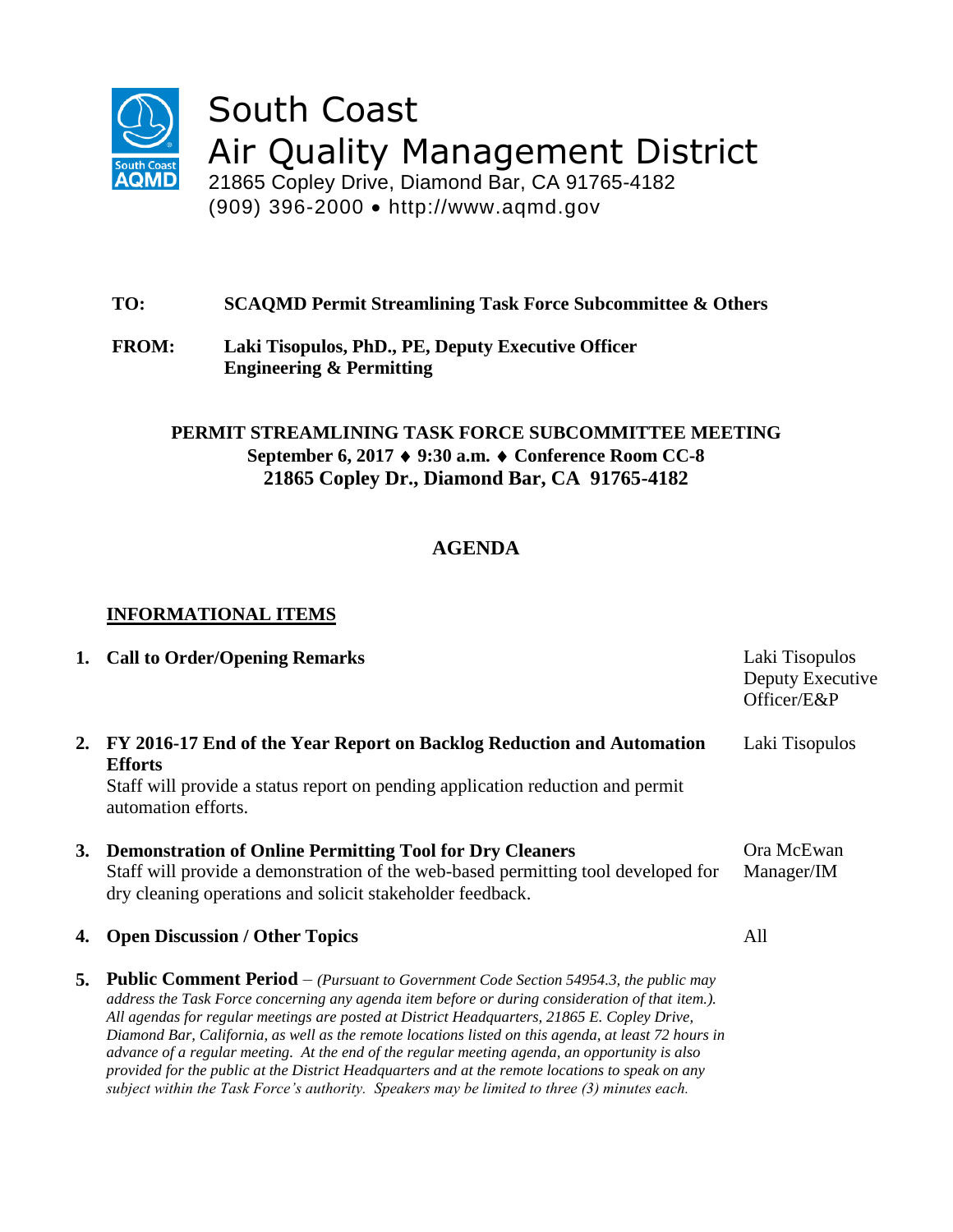

South Coast Air Quality Management District

21865 Copley Drive, Diamond Bar, CA 91765-4182 (909) 396-2000 http://www.aqmd.gov

- **TO: SCAQMD Permit Streamlining Task Force Subcommittee & Others**
- **FROM: Laki Tisopulos, PhD., PE, Deputy Executive Officer Engineering & Permitting**

### **PERMIT STREAMLINING TASK FORCE SUBCOMMITTEE MEETING September 6, 2017 9:30 a.m. Conference Room CC-8 21865 Copley Dr., Diamond Bar, CA 91765-4182**

# **AGENDA**

## **INFORMATIONAL ITEMS**

|    | 1. Call to Order/Opening Remarks                                                                                                                                                                                                                                                                                                                                                                                                                                                                                                                                                                                | Laki Tisopulos<br>Deputy Executive<br>Officer/E&P |
|----|-----------------------------------------------------------------------------------------------------------------------------------------------------------------------------------------------------------------------------------------------------------------------------------------------------------------------------------------------------------------------------------------------------------------------------------------------------------------------------------------------------------------------------------------------------------------------------------------------------------------|---------------------------------------------------|
| 2. | FY 2016-17 End of the Year Report on Backlog Reduction and Automation<br><b>Efforts</b><br>Staff will provide a status report on pending application reduction and permit<br>automation efforts.                                                                                                                                                                                                                                                                                                                                                                                                                | Laki Tisopulos                                    |
| 3. | <b>Demonstration of Online Permitting Tool for Dry Cleaners</b><br>Staff will provide a demonstration of the web-based permitting tool developed for<br>dry cleaning operations and solicit stakeholder feedback.                                                                                                                                                                                                                                                                                                                                                                                               | Ora McEwan<br>Manager/IM                          |
| 4. | <b>Open Discussion / Other Topics</b>                                                                                                                                                                                                                                                                                                                                                                                                                                                                                                                                                                           | All                                               |
| 5. | <b>Public Comment Period</b> $-$ (Pursuant to Government Code Section 54954.3, the public may<br>address the Task Force concerning any agenda item before or during consideration of that item.).<br>All agendas for regular meetings are posted at District Headquarters, 21865 E. Copley Drive,<br>Diamond Bar, California, as well as the remote locations listed on this agenda, at least 72 hours in<br>advance of a regular meeting. At the end of the regular meeting agenda, an opportunity is also<br>provided for the public at the District Headquarters and at the remote locations to speak on any |                                                   |

*subject within the Task Force's authority. Speakers may be limited to three (3) minutes each.*